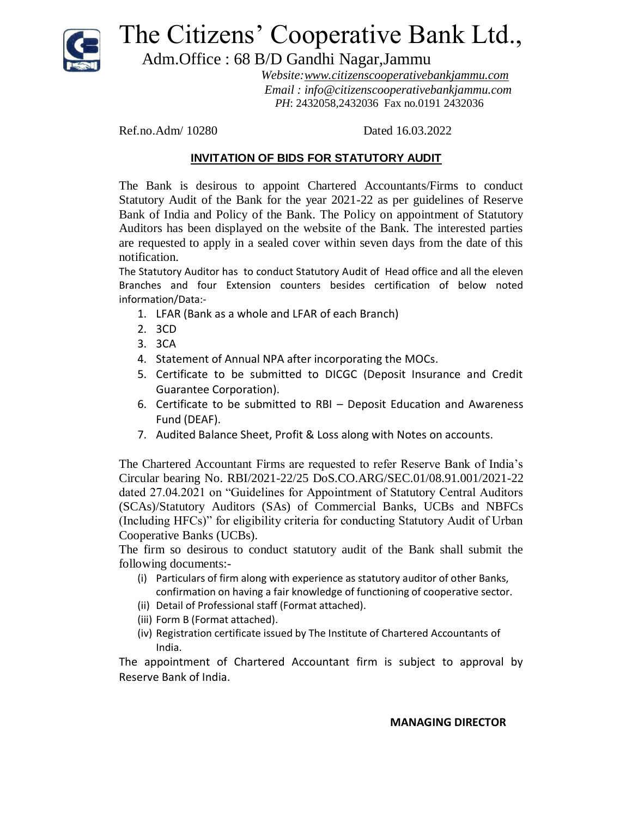

The Citizens' Cooperative Bank Ltd.,

Adm.Office : 68 B/D Gandhi Nagar,Jammu

 *Website:www.citizenscooperativebankjammu.com Email : info@citizenscooperativebankjammu.com PH*: 2432058,2432036 Fax no.0191 2432036

Ref.no.Adm/ 10280 Dated 16.03.2022

## **INVITATION OF BIDS FOR STATUTORY AUDIT**

The Bank is desirous to appoint Chartered Accountants/Firms to conduct Statutory Audit of the Bank for the year 2021-22 as per guidelines of Reserve Bank of India and Policy of the Bank. The Policy on appointment of Statutory Auditors has been displayed on the website of the Bank. The interested parties are requested to apply in a sealed cover within seven days from the date of this notification.

The Statutory Auditor has to conduct Statutory Audit of Head office and all the eleven Branches and four Extension counters besides certification of below noted information/Data:-

- 1. LFAR (Bank as a whole and LFAR of each Branch)
- 2. 3CD
- 3. 3CA
- 4. Statement of Annual NPA after incorporating the MOCs.
- 5. Certificate to be submitted to DICGC (Deposit Insurance and Credit Guarantee Corporation).
- 6. Certificate to be submitted to RBI Deposit Education and Awareness Fund (DEAF).
- 7. Audited Balance Sheet, Profit & Loss along with Notes on accounts.

The Chartered Accountant Firms are requested to refer Reserve Bank of India's Circular bearing No. RBI/2021-22/25 DoS.CO.ARG/SEC.01/08.91.001/2021-22 dated 27.04.2021 on "Guidelines for Appointment of Statutory Central Auditors (SCAs)/Statutory Auditors (SAs) of Commercial Banks, UCBs and NBFCs (Including HFCs)" for eligibility criteria for conducting Statutory Audit of Urban Cooperative Banks (UCBs).

The firm so desirous to conduct statutory audit of the Bank shall submit the following documents:-

- (i) Particulars of firm along with experience as statutory auditor of other Banks, confirmation on having a fair knowledge of functioning of cooperative sector.
- (ii) Detail of Professional staff (Format attached).
- (iii) Form B (Format attached).
- (iv) Registration certificate issued by The Institute of Chartered Accountants of India.

The appointment of Chartered Accountant firm is subject to approval by Reserve Bank of India.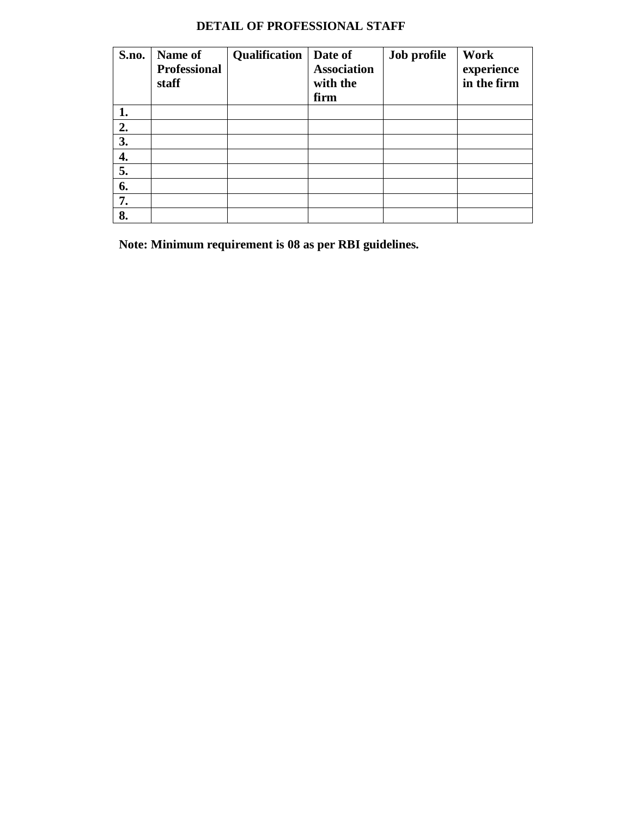# **DETAIL OF PROFESSIONAL STAFF**

| S.no. | Name of<br><b>Professional</b><br>staff | Qualification | Date of<br><b>Association</b><br>with the<br>firm | Job profile | Work<br>experience<br>in the firm |
|-------|-----------------------------------------|---------------|---------------------------------------------------|-------------|-----------------------------------|
| 1.    |                                         |               |                                                   |             |                                   |
| 2.    |                                         |               |                                                   |             |                                   |
| 3.    |                                         |               |                                                   |             |                                   |
| 4.    |                                         |               |                                                   |             |                                   |
| 5.    |                                         |               |                                                   |             |                                   |
| 6.    |                                         |               |                                                   |             |                                   |
| 7.    |                                         |               |                                                   |             |                                   |
| 8.    |                                         |               |                                                   |             |                                   |

**Note: Minimum requirement is 08 as per RBI guidelines.**